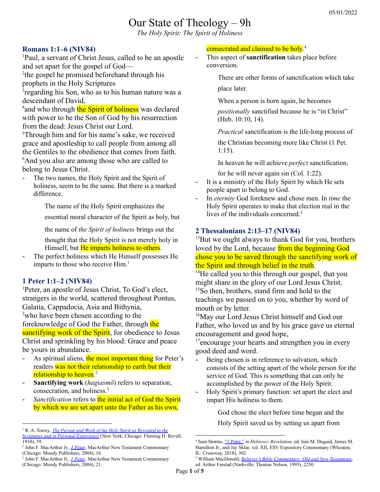# Our State of Theology – 9h

*The Holy Spirit: The Spirit of Holiness*

#### **Romans 1:1–6 (NIV84)**

<sup>1</sup>Paul, a servant of Christ Jesus, called to be an apostle and set apart for the gospel of God—

<sup>2</sup>the gospel he promised beforehand through his prophets in the Holy Scriptures

<sup>3</sup> regarding his Son, who as to his human nature was a descendant of David,

<sup>4</sup> and who through the Spirit of holiness was declared with power to be the Son of God by his resurrection from the dead: Jesus Christ our Lord.

<sup>5</sup>Through him and for his name's sake, we received grace and apostleship to call people from among all the Gentiles to the obedience that comes from faith. <sup>6</sup>And you also are among those who are called to belong to Jesus Christ.

The two names, the Holy Spirit and the Spirit of holiness, seem to be the same. But there is a marked difference.

> The name of the Holy Spirit emphasizes the essential moral character of the Spirit as holy, but

the name of *the Spirit of holiness* brings out the

thought that the Holy Spirit is not merely holy in Himself, but He imparts holiness to others.

The perfect holiness which He Himself possesses He imparts to those who receive Him. 1

#### **1 Peter 1:1–2 (NIV84)**

<sup>1</sup>Peter, an apostle of Jesus Christ, To God's elect, strangers in the world, scattered throughout Pontus, Galatia, Cappadocia, Asia and Bithynia, <sup>2</sup>who have been chosen according to the foreknowledge of God the Father, through the sanctifying work of the Spirit, for obedience to Jesus Christ and sprinkling by his blood: Grace and peace be yours in abundance.

- As spiritual aliens, the most important thing for Peter's readers was not their relationship to earth but their relationship to heaven. 2
- **Sanctifying work** (*hagiasmō*) refers to separation, consecration, and holiness. 3
- Sanctification refers to the initial act of God the Spirit by which we are set apart unto the Father as his own,

#### consecrated and claimed to be holy.<sup>4</sup>

- This aspect of **sanctification** takes place before conversion.

There are other forms of sanctification which take place later.

When a person is born again, he becomes

*positionally* sanctified because he is "in Christ" (Heb. 10:10, 14).

*Practical* sanctification is the life-long process of

the Christian becoming more like Christ (1 Pet. 1:15).

In heaven he will achieve *perfect* sanctification,

for he will never again sin (Col. 1:22).

- It is a ministry of the Holy Spirit by which He sets people apart to belong to God.
- In *eternity* God foreknew and chose men. In *time* the Holy Spirit operates to make that election real in the lives of the individuals concerned. 5

# **2 Thessalonians 2:13–17 (NIV84)**

<sup>13</sup>But we ought always to thank God for you, brothers loved by the Lord, because from the beginning God chose you to be saved through the sanctifying work of the Spirit and through belief in the truth.

<sup>14</sup>He called you to this through our gospel, that you might share in the glory of our Lord Jesus Christ. <sup>15</sup>So then, brothers, stand firm and hold to the teachings we passed on to you, whether by word of mouth or by letter.

<sup>16</sup>May our Lord Jesus Christ himself and God our Father, who loved us and by his grace gave us eternal encouragement and good hope,

 $17$ encourage your hearts and strengthen you in every good deed and word.

- Being chosen is in reference to salvation, which consists of the setting apart of the whole person for the service of God. This is something that can only be accomplished by the power of the Holy Spirit.
- Holy Spirit's primary function: set apart the elect and impart His holiness to them.

God chose the elect before time began and the

Holy Spirit saved us by setting us apart from

<sup>1</sup> R. A. Torrey, *The Person and Work of the Holy Spirit as [Revealed](https://ref.ly/logosres/prswrkhs?ref=Page.p+59&off=79&ctx=tion+from+the+dead.%E2%80%9D~+At+the+first+glance) in the Scriptures and in Personal [Experience](https://ref.ly/logosres/prswrkhs?ref=Page.p+59&off=79&ctx=tion+from+the+dead.%E2%80%9D~+At+the+first+glance)* (New York; Chicago: Fleming H. Revell, 1910), 59.

<sup>2</sup> John F. MacArthur Jr., *1 [Peter](https://ref.ly/logosres/mntc1pe?ref=Bible.1Pe1.1b&off=45&ctx=o+are+chosen+(1%3a1b)%0a~As+spiritual+aliens%2c)*, MacArthur New Testament Commentary (Chicago: Moody Publishers, 2004), 16.

<sup>3</sup> John F. MacArthur Jr., *1 [Peter](https://ref.ly/logosres/mntc1pe?ref=Bible.1Pe1.2b&off=514&ctx=Spirit+carries+out.%0a~Sanctifying+work+(ha)*, MacArthur New Testament Commentary (Chicago: Moody Publishers, 2004), 21.

<sup>4</sup> Sam Storms, "1 [Peter,"](https://ref.ly/logosres/esvexpcomhebrev?ref=Bible.1Pe1.1-2&off=5233&ctx=one+who+sanctifies.+~%E2%80%9CSanctification%E2%80%9D+is+) in *Hebrews–Revelation*, ed. Iain M. Duguid, James M. Hamilton Jr., and Jay Sklar, vol. XII, ESV Expository Commentary (Wheaton, IL: Crossway, 2018), 302.

<sup>5</sup> William MacDonald, *Believer's Bible [Commentary:](https://ref.ly/logosres/blvrcomm?ref=Page.p+2250&off=2767&ctx=+by+God+the+Father.+~In+eternity+God+fore) Old and New Testaments*, ed. Arthur Farstad (Nashville: Thomas Nelson, 1995), 2250.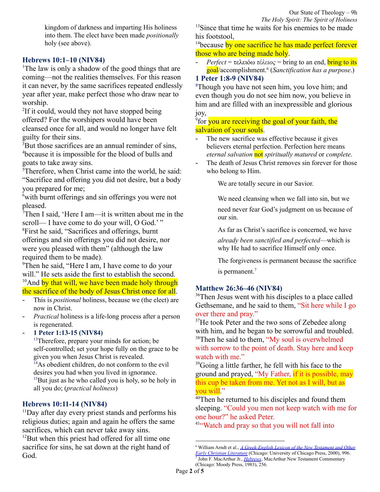kingdom of darkness and imparting His holiness into them. The elect have been made *positionally* holy (see above).

# **Hebrews 10:1–10 (NIV84)**

<sup>1</sup>The law is only a shadow of the good things that are coming—not the realities themselves. For this reason it can never, by the same sacrifices repeated endlessly year after year, make perfect those who draw near to worship.

<sup>2</sup>If it could, would they not have stopped being offered? For the worshipers would have been cleansed once for all, and would no longer have felt guilty for their sins.

<sup>3</sup>But those sacrifices are an annual reminder of sins, <sup>4</sup>because it is impossible for the blood of bulls and goats to take away sins.

<sup>5</sup>Therefore, when Christ came into the world, he said: "Sacrifice and offering you did not desire, but a body you prepared for me;

<sup>6</sup>with burnt offerings and sin offerings you were not pleased.

 $7$ Then I said, 'Here I am—it is written about me in the scroll— I have come to do your will, O God.'"

<sup>8</sup>First he said, "Sacrifices and offerings, burnt offerings and sin offerings you did not desire, nor were you pleased with them" (although the law required them to be made).

<sup>9</sup>Then he said, "Here I am, I have come to do your will." He sets aside the first to establish the second. <sup>10</sup>And by that will, we have been made holy through the sacrifice of the body of Jesus Christ once for all.

- This is *positional* holiness, because we (the elect) are now in Christ.
- *Practical* holiness is a life-long process after a person is regenerated.
- **1 Peter 1:13-15 (NIV84)**

<sup>13</sup>Therefore, prepare your minds for action; be self-controlled; set your hope fully on the grace to be given you when Jesus Christ is revealed.

<sup>14</sup>As obedient children, do not conform to the evil desires you had when you lived in ignorance.  $15$ But just as he who called you is holy, so be holy in all you do; (*practical holiness*)

# **Hebrews 10:11-14 (NIV84)**

 $11$ Day after day every priest stands and performs his religious duties; again and again he offers the same sacrifices, which can never take away sins. <sup>12</sup>But when this priest had offered for all time one sacrifice for sins, he sat down at the right hand of God.

<sup>13</sup>Since that time he waits for his enemies to be made his footstool,

<sup>14</sup>because by one sacrifice he has made perfect forever those who are being made holy.

*Perfect* = τελειόω *τέλειος* = bring to an end, **bring to its** goal/accomplishment. 6 (*Sanctification has a purpose*.)

# **1 Peter 1:8-9 (NIV84)**

<sup>8</sup>Though you have not seen him, you love him; and even though you do not see him now, you believe in him and are filled with an inexpressible and glorious joy,

<sup>9</sup> for you are receiving the goal of your faith, the salvation of your souls.

- The new sacrifice was effective because it gives believers eternal perfection. Perfection here means *eternal salvation* not *spiritually matured* or *complete*.
- The death of Jesus Christ removes sin forever for those who belong to Him.

We are totally secure in our Savior.

We need cleansing when we fall into sin, but we

need never fear God's judgment on us because of our sin.

As far as Christ's sacrifice is concerned, we have

*already been sanctified and perfected*—which is why He had to sacrifice Himself only once.

The forgiveness is permanent because the sacrifice is permanent.<sup>7</sup>

# **Matthew 26:36–46 (NIV84)**

<sup>36</sup>Then Jesus went with his disciples to a place called Gethsemane, and he said to them, "Sit here while I go over there and pray."

<sup>37</sup>He took Peter and the two sons of Zebedee along with him, and he began to be sorrowful and troubled. <sup>38</sup>Then he said to them, "My soul is overwhelmed with sorrow to the point of death. Stay here and keep watch with me."

<sup>39</sup>Going a little farther, he fell with his face to the ground and prayed, "My Father, if it is possible, may this cup be taken from me. Yet not as I will, but as you will."

<sup>40</sup>Then he returned to his disciples and found them sleeping. "Could you men not keep watch with me for one hour?" he asked Peter.

<sup>41</sup>"Watch and pray so that you will not fall into

<sup>7</sup> John F. MacArthur Jr., *[Hebrews](https://ref.ly/logosres/hebmntc?ref=Bible.Heb10.14&off=115&ctx=sanctified.+(10%3a14)%0a~The+new+sacrifice+wa)*, MacArthur New Testament Commentary (Chicago: Moody Press, 1983), 256. <sup>6</sup> William Arndt et al., *A [Greek-English](https://ref.ly/logosres/bdag?ref=Page.p+996&off=4108&ctx=free+fr.+objection%2c+~bring+to+an+end%2c+bri) Lexicon of the New Testament and Other Early Christian [Literature](https://ref.ly/logosres/bdag?ref=Page.p+996&off=4108&ctx=free+fr.+objection%2c+~bring+to+an+end%2c+bri)* (Chicago: University of Chicago Press, 2000), 996.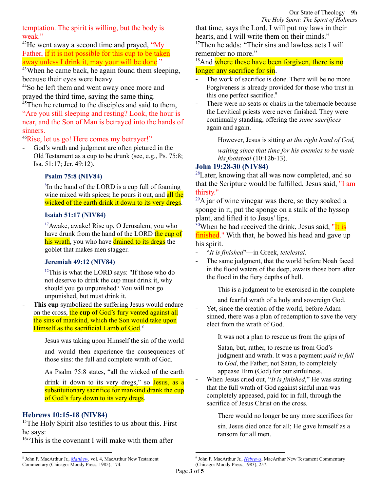temptation. The spirit is willing, but the body is weak"

 $^{42}$ He went away a second time and prayed, "My Father, if it is not possible for this cup to be taken away unless I drink it, may your will be done."

<sup>43</sup>When he came back, he again found them sleeping, because their eyes were heavy.

<sup>44</sup>So he left them and went away once more and prayed the third time, saying the same thing. <sup>45</sup>Then he returned to the disciples and said to them,

"Are you still sleeping and resting? Look, the hour is near, and the Son of Man is betrayed into the hands of sinners.

<sup>46</sup>Rise, let us go! Here comes my betrayer!"

God's wrath and judgment are often pictured in the Old Testament as a cup to be drunk (see, e.g., Ps. 75:8; Isa. 51:17; Jer. 49:12).

### **Psalm 75:8 (NIV84)**

8 In the hand of the LORD is a cup full of foaming wine mixed with spices; he pours it out, and all the wicked of the earth drink it down to its very dregs.

#### **Isaiah 51:17 (NIV84)**

<sup>17</sup>Awake, awake! Rise up, O Jerusalem, you who have drunk from the hand of the LORD the cup of his wrath, you who have drained to its dregs the goblet that makes men stagger.

#### **Jeremiah 49:12 (NIV84)**

<sup>12</sup>This is what the LORD says: "If those who do not deserve to drink the cup must drink it, why should you go unpunished? You will not go unpunished, but must drink it.

This cup symbolized the suffering Jesus would endure on the cross, the **cup** of God's fury vented against all the sins of mankind, which the Son would take upon Himself as the sacrificial Lamb of God.<sup>8</sup>

Jesus was taking upon Himself the sin of the world

and would then experience the consequences of those sins: the full and complete wrath of God.

As Psalm 75:8 states, "all the wicked of the earth

drink it down to its very dregs," so Jesus, as a substitutionary sacrifice for mankind drank the cup of God's fury down to its very dregs.

#### **Hebrews 10:15-18 (NIV84)**

<sup>15</sup>The Holy Spirit also testifies to us about this. First he says:

 $16$ "This is the covenant I will make with them after

that time, says the Lord. I will put my laws in their hearts, and I will write them on their minds."

<sup>17</sup>Then he adds: "Their sins and lawless acts I will remember no more."

<sup>18</sup>And where these have been forgiven, there is no longer any sacrifice for sin.

- The work of sacrifice is done. There will be no more. Forgiveness is already provided for those who trust in this one perfect sacrifice. 9
- There were no seats or chairs in the tabernacle because the Levitical priests were never finished. They were continually standing, offering the *same sacrifices* again and again.

However, Jesus is sitting *at the right hand of God,*

*waiting since that time for his enemies to be made his footstool* (10:12b-13).

# **John 19:28-30 (NIV84)**

<sup>28</sup>Later, knowing that all was now completed, and so that the Scripture would be fulfilled, Jesus said, "I am thirsty."

 $^{29}$ A jar of wine vinegar was there, so they soaked a sponge in it, put the sponge on a stalk of the hyssop plant, and lifted it to Jesus' lips.

 $30$ When he had received the drink, Jesus said, "It is finished." With that, he bowed his head and gave up his spirit.

- "*It is finished*"—in Greek, *tetelestai*.
- The same judgment, that the world before Noah faced in the flood waters of the deep, awaits those born after the flood in the fiery depths of hell.

This is a judgment to be exercised in the complete

and fearful wrath of a holy and sovereign God.

Yet, since the creation of the world, before Adam sinned, there was a plan of redemption to save the very elect from the wrath of God.

It was not a plan to rescue us from the grips of

Satan, but, rather, to rescue us from God's judgment and wrath. It was a payment *paid in full* to *God*, the Father, not Satan, to completely appease Him (God) for our sinfulness.

- When Jesus cried out, "*It is finished*," He was stating that the full wrath of God against sinful man was completely appeased, paid for in full, through the sacrifice of Jesus Christ on the cross.

There would no longer be any more sacrifices for

sin. Jesus died once for all; He gave himself as a ransom for all men.

<sup>8</sup> John F. MacArthur Jr., *[Matthew](https://ref.ly/logosres/mattmntc?ref=Bible.Mt26.39-45a&off=3625&ctx=liver+men+from+sin.%0a~God%E2%80%99s+wrath+and+judg)*, vol. 4, MacArthur New Testament Commentary (Chicago: Moody Press, 1985), 174.

<sup>9</sup> John F. MacArthur Jr., *[Hebrews](https://ref.ly/logosres/hebmntc?ref=Bible.Heb10.18&off=99&ctx=+for+sin.+(%EF%BB%BF10%3a18%EF%BB%BF)%0a~The+work+of+sacrific)*, MacArthur New Testament Commentary (Chicago: Moody Press, 1983), 257.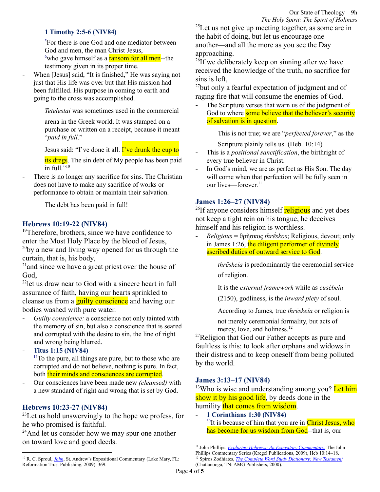#### **1 Timothy 2:5-6 (NIV84)**

<sup>5</sup>For there is one God and one mediator between God and men, the man Christ Jesus,  $6$ who gave himself as a **ransom for all men**--the testimony given in its proper time.

- When [Jesus] said, "It is finished," He was saying not just that His life was over but that His mission had been fulfilled. His purpose in coming to earth and going to the cross was accomplished.

*Tetelestai* was sometimes used in the commercial

arena in the Greek world. It was stamped on a purchase or written on a receipt, because it meant "*paid in full*."

Jesus said: "I've done it all. I've drunk the cup to

its dregs. The sin debt of My people has been paid in full."<sup>10</sup>

There is no longer any sacrifice for sins. The Christian does not have to make any sacrifice of works or performance to obtain or maintain their salvation.

The debt has been paid in full!

#### **Hebrews 10:19-22 (NIV84)**

<sup>19</sup>Therefore, brothers, since we have confidence to enter the Most Holy Place by the blood of Jesus,  $^{20}$ by a new and living way opened for us through the curtain, that is, his body,

<sup>21</sup> and since we have a great priest over the house of God,

<sup>22</sup>let us draw near to God with a sincere heart in full assurance of faith, having our hearts sprinkled to cleanse us from a **guilty conscience** and having our bodies washed with pure water.

- *Guilty conscience:* a conscience not only tainted with the memory of sin, but also a conscience that is seared and corrupted with the desire to sin, the line of right and wrong being blurred.
- **Titus 1:15 (NIV84)** <sup>15</sup>To the pure, all things are pure, but to those who are corrupted and do not believe, nothing is pure. In fact, both their minds and consciences are corrupted.
- Our consciences have been made new *(cleansed)* with a new standard of right and wrong that is set by God.

# **Hebrews 10:23-27 (NIV84)**

<sup>23</sup>Let us hold unswervingly to the hope we profess, for he who promised is faithful.

<sup>24</sup>And let us consider how we may spur one another on toward love and good deeds.

 $^{25}$ Let us not give up meeting together, as some are in the habit of doing, but let us encourage one another—and all the more as you see the Day approaching.

<sup>26</sup>If we deliberately keep on sinning after we have received the knowledge of the truth, no sacrifice for sins is left,

<sup>27</sup>but only a fearful expectation of judgment and of raging fire that will consume the enemies of God.

The Scripture verses that warn us of the judgment of God to where some believe that the believer's security of salvation is in question.

> This is not true; we are "*perfected forever*," as the Scripture plainly tells us. (Heb. 10:14)

- This is a *positional sanctification*, the birthright of every true believer in Christ.
- In God's mind, we are as perfect as His Son. The day will come when that perfection will be fully seen in our lives—forever. 11

#### **James 1:26–27 (NIV84)**

<sup>26</sup>If anyone considers himself **religious** and yet does not keep a tight rein on his tongue, he deceives himself and his religion is worthless.

- *Religious* = θρῆσκος *thrḗskos*; Religious, devout; only in James 1:26, the diligent performer of divinely ascribed duties of outward service to God.

> *thrēskeía* is predominantly the ceremonial service of religion.

It is the *external framework* while as *eusébeia*

(2150), godliness, is the *inward piety* of soul.

According to James, true *thrēskeía* or religion is

not merely ceremonial formality, but acts of mercy, love, and holiness.<sup>12</sup>

<sup>27</sup>Religion that God our Father accepts as pure and faultless is this: to look after orphans and widows in their distress and to keep oneself from being polluted by the world.

#### **James 3:13–17 (NIV84)**

<sup>13</sup>Who is wise and understanding among you? Let him show it by his good life, by deeds done in the humility that comes from wisdom.

- **1 Corinthians 1:30 (NIV84)** <sup>30</sup>It is because of him that you are in **Christ Jesus**, who has become for us wisdom from God--that is, our

<sup>&</sup>lt;sup>10</sup> R. C. Sproul, *[John](https://ref.ly/logosres/johnsproul?ref=Bible.Jn19.17-37&off=16101&ctx=own+to+this+moment.+~When+He+said%2c+%E2%80%9CIt+is)*, St. Andrew's Expositional Commentary (Lake Mary, FL: Reformation Trust Publishing, 2009), 369.

<sup>12</sup> Spiros Zodhiates, *The Complete Word Study [Dictionary:](https://ref.ly/logosres/wsntdict?ref=GreekStrongs.2357&off=7&ctx=+%0a2357.+~%CE%B8%CF%81%CE%B7%CD%82%CF%83%CE%BA%CE%BF%CF%82+thre%CC%84%CC%81skos%3b+gen.+thre%CC%84%CC%81) New Testament* (Chattanooga, TN: AMG Publishers, 2000). <sup>11</sup> John Phillips, *Exploring Hebrews: An Expository [Commentary](https://ref.ly/logosres/jpcs79heb01?ref=Bible.Heb10.14-18&off=423&ctx=anctified%E2%80%9D+(10%3a14).+~The+writer+of+Hebrew)*, The John Phillips Commentary Series (Kregel Publications, 2009), Heb 10:14–18.